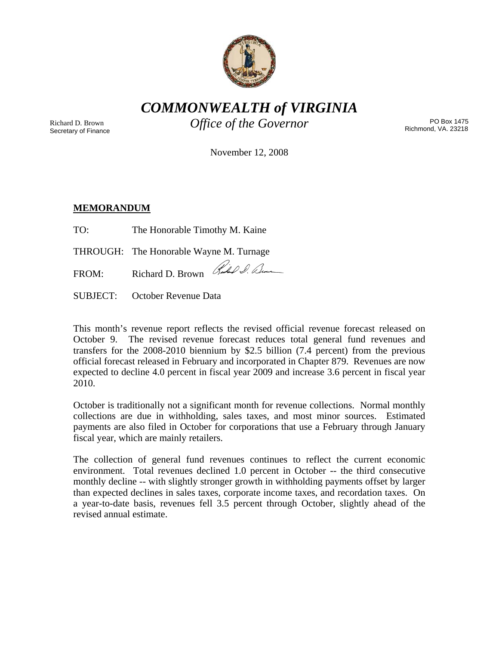

*COMMONWEALTH of VIRGINIA* 

Richard D. Brown Secretary of Finance *Office of the Governor* PO Box 1475

Richmond, VA. 23218

November 12, 2008

## **MEMORANDUM**

| TO: | The Honorable Timothy M. Kaine |  |
|-----|--------------------------------|--|
|     |                                |  |

THROUGH: The Honorable Wayne M. Turnage

FROM: Richard D. Brown Ruchard D. am

SUBJECT: October Revenue Data

This month's revenue report reflects the revised official revenue forecast released on October 9. The revised revenue forecast reduces total general fund revenues and transfers for the 2008-2010 biennium by \$2.5 billion (7.4 percent) from the previous official forecast released in February and incorporated in Chapter 879. Revenues are now expected to decline 4.0 percent in fiscal year 2009 and increase 3.6 percent in fiscal year 2010.

October is traditionally not a significant month for revenue collections. Normal monthly collections are due in withholding, sales taxes, and most minor sources. Estimated payments are also filed in October for corporations that use a February through January fiscal year, which are mainly retailers.

The collection of general fund revenues continues to reflect the current economic environment. Total revenues declined 1.0 percent in October -- the third consecutive monthly decline -- with slightly stronger growth in withholding payments offset by larger than expected declines in sales taxes, corporate income taxes, and recordation taxes. On a year-to-date basis, revenues fell 3.5 percent through October, slightly ahead of the revised annual estimate.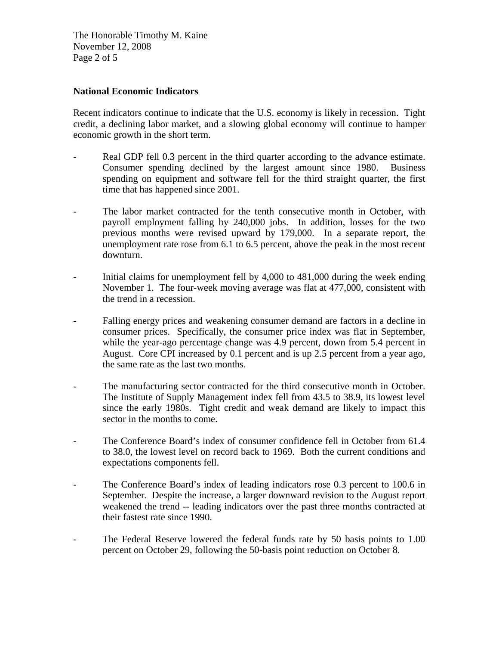The Honorable Timothy M. Kaine November 12, 2008 Page 2 of 5

#### **National Economic Indicators**

Recent indicators continue to indicate that the U.S. economy is likely in recession. Tight credit, a declining labor market, and a slowing global economy will continue to hamper economic growth in the short term.

- Real GDP fell 0.3 percent in the third quarter according to the advance estimate. Consumer spending declined by the largest amount since 1980. Business spending on equipment and software fell for the third straight quarter, the first time that has happened since 2001.
- The labor market contracted for the tenth consecutive month in October, with payroll employment falling by 240,000 jobs. In addition, losses for the two previous months were revised upward by 179,000. In a separate report, the unemployment rate rose from 6.1 to 6.5 percent, above the peak in the most recent downturn.
- Initial claims for unemployment fell by 4,000 to 481,000 during the week ending November 1. The four-week moving average was flat at 477,000, consistent with the trend in a recession.
- Falling energy prices and weakening consumer demand are factors in a decline in consumer prices. Specifically, the consumer price index was flat in September, while the year-ago percentage change was 4.9 percent, down from 5.4 percent in August. Core CPI increased by 0.1 percent and is up 2.5 percent from a year ago, the same rate as the last two months.
- The manufacturing sector contracted for the third consecutive month in October. The Institute of Supply Management index fell from 43.5 to 38.9, its lowest level since the early 1980s. Tight credit and weak demand are likely to impact this sector in the months to come.
- The Conference Board's index of consumer confidence fell in October from 61.4 to 38.0, the lowest level on record back to 1969. Both the current conditions and expectations components fell.
- The Conference Board's index of leading indicators rose 0.3 percent to 100.6 in September. Despite the increase, a larger downward revision to the August report weakened the trend -- leading indicators over the past three months contracted at their fastest rate since 1990.
- The Federal Reserve lowered the federal funds rate by 50 basis points to 1.00 percent on October 29, following the 50-basis point reduction on October 8.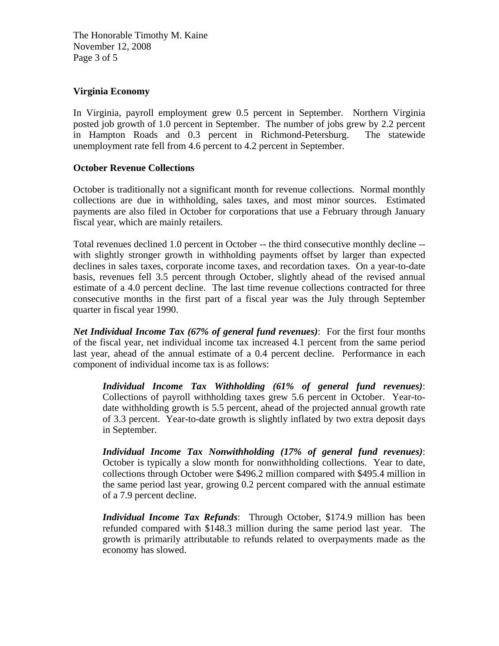The Honorable Timothy M. Kaine November 12, 2008 Page 3 of 5

# **Virginia Economy**

In Virginia, payroll employment grew 0.5 percent in September. Northern Virginia posted job growth of 1.0 percent in September. The number of jobs grew by 2.2 percent in Hampton Roads and 0.3 percent in Richmond-Petersburg. The statewide unemployment rate fell from 4.6 percent to 4.2 percent in September.

## **October Revenue Collections**

October is traditionally not a significant month for revenue collections. Normal monthly collections are due in withholding, sales taxes, and most minor sources. Estimated payments are also filed in October for corporations that use a February through January fiscal year, which are mainly retailers.

Total revenues declined 1.0 percent in October -- the third consecutive monthly decline - with slightly stronger growth in withholding payments offset by larger than expected declines in sales taxes, corporate income taxes, and recordation taxes. On a year-to-date basis, revenues fell 3.5 percent through October, slightly ahead of the revised annual estimate of a 4.0 percent decline. The last time revenue collections contracted for three consecutive months in the first part of a fiscal year was the July through September quarter in fiscal year 1990.

*Net Individual Income Tax (67% of general fund revenues)*: For the first four months of the fiscal year, net individual income tax increased 4.1 percent from the same period last year, ahead of the annual estimate of a 0.4 percent decline. Performance in each component of individual income tax is as follows:

*Individual Income Tax Withholding (61% of general fund revenues)*: Collections of payroll withholding taxes grew 5.6 percent in October. Year-todate withholding growth is 5.5 percent, ahead of the projected annual growth rate of 3.3 percent. Year-to-date growth is slightly inflated by two extra deposit days in September.

*Individual Income Tax Nonwithholding (17% of general fund revenues)*: October is typically a slow month for nonwithholding collections. Year to date, collections through October were \$496.2 million compared with \$495.4 million in the same period last year, growing 0.2 percent compared with the annual estimate of a 7.9 percent decline.

*Individual Income Tax Refunds*: Through October, \$174.9 million has been refunded compared with \$148.3 million during the same period last year. The growth is primarily attributable to refunds related to overpayments made as the economy has slowed.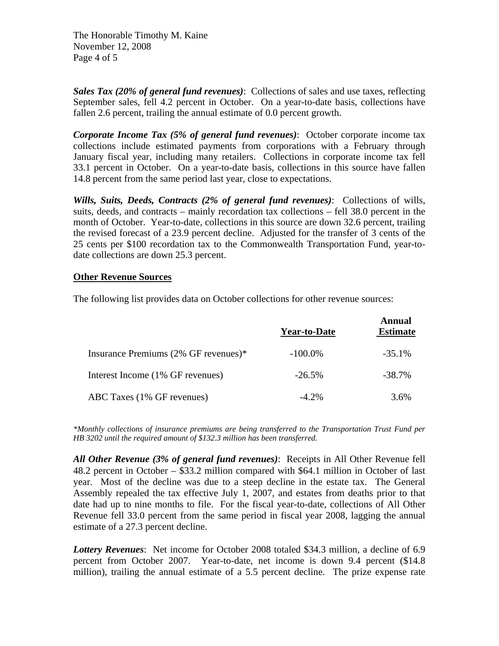The Honorable Timothy M. Kaine November 12, 2008 Page 4 of 5

*Sales Tax (20% of general fund revenues)*: Collections of sales and use taxes, reflecting September sales, fell 4.2 percent in October. On a year-to-date basis, collections have fallen 2.6 percent, trailing the annual estimate of 0.0 percent growth.

*Corporate Income Tax (5% of general fund revenues)*: October corporate income tax collections include estimated payments from corporations with a February through January fiscal year, including many retailers. Collections in corporate income tax fell 33.1 percent in October. On a year-to-date basis, collections in this source have fallen 14.8 percent from the same period last year, close to expectations.

*Wills, Suits, Deeds, Contracts (2% of general fund revenues)*: Collections of wills, suits, deeds, and contracts – mainly recordation tax collections – fell 38.0 percent in the month of October. Year-to-date, collections in this source are down 32.6 percent, trailing the revised forecast of a 23.9 percent decline. Adjusted for the transfer of 3 cents of the 25 cents per \$100 recordation tax to the Commonwealth Transportation Fund, year-todate collections are down 25.3 percent.

#### **Other Revenue Sources**

The following list provides data on October collections for other revenue sources:

|                                      | <b>Year-to-Date</b> | <b>Annual</b><br><b>Estimate</b> |
|--------------------------------------|---------------------|----------------------------------|
| Insurance Premiums (2% GF revenues)* | $-100.0\%$          | $-35.1%$                         |
| Interest Income (1% GF revenues)     | $-26.5\%$           | $-38.7\%$                        |
| ABC Taxes (1% GF revenues)           | $-4.2\%$            | 3.6%                             |

*\*Monthly collections of insurance premiums are being transferred to the Transportation Trust Fund per HB 3202 until the required amount of \$132.3 million has been transferred.* 

*All Other Revenue (3% of general fund revenues)*: Receipts in All Other Revenue fell 48.2 percent in October – \$33.2 million compared with \$64.1 million in October of last year. Most of the decline was due to a steep decline in the estate tax. The General Assembly repealed the tax effective July 1, 2007, and estates from deaths prior to that date had up to nine months to file. For the fiscal year-to-date, collections of All Other Revenue fell 33.0 percent from the same period in fiscal year 2008, lagging the annual estimate of a 27.3 percent decline.

*Lottery Revenues*: Net income for October 2008 totaled \$34.3 million, a decline of 6.9 percent from October 2007. Year-to-date, net income is down 9.4 percent (\$14.8 million), trailing the annual estimate of a 5.5 percent decline. The prize expense rate